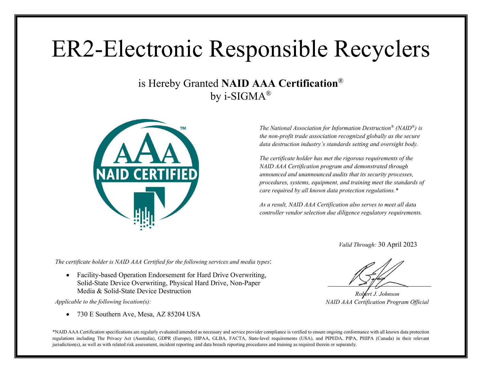## ER2-Electronic Responsible Recyclers

## is Hereby Granted **NAID AAA Certification**® by i-SIGM $A^{\circledR}$



*The National Association for Information Destruction® (NAID®) is the non-profit trade association recognized globally as the secure data destruction industry's standards setting and oversight body.*

*The certificate holder has met the rigorous requirements of the NAID AAA Certification program and demonstrated through announced and unannounced audits that its security processes, procedures, systems, equipment, and training meet the standards of care required by all known data protection regulations.\**

*As a result, NAID AAA Certification also serves to meet all data controller vendor selection due diligence regulatory requirements.*

*Valid Through:* 30 April 2023

*The certificate holder is NAID AAA Certified for the following services and media types*:

• Facility-based Operation Endorsement for Hard Drive Overwriting, Solid-State Device Overwriting, Physical Hard Drive, Non-Paper Media & Solid-State Device Destruction

*Applicable to the following location(s):*

• 730 E Southern Ave, Mesa, AZ 85204 USA

*Robert J. Johnson NAID AAA Certification Program Official*

\*NAID AAA Certification specifications are regularly evaluated/amended as necessary and service provider compliance is verified to ensure ongoing conformance with all known data protection regulations including The Privacy Act (Australia), GDPR (Europe), HIPAA, GLBA, FACTA, State-level requirements (USA), and PIPEDA, PIPA, PHIPA (Canada) in their relevant jurisdiction(s), as well as with related risk assessment, incident reporting and data breach reporting procedures and training as required therein or separately.